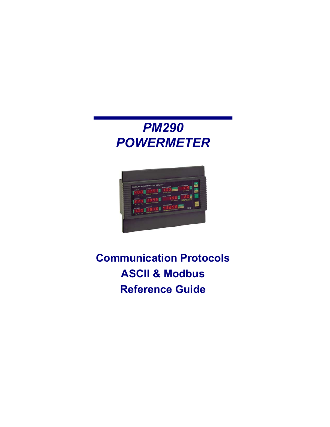# *PM290 POWERMETER*



# **Communication Protocols ASCII & Modbus Reference Guide**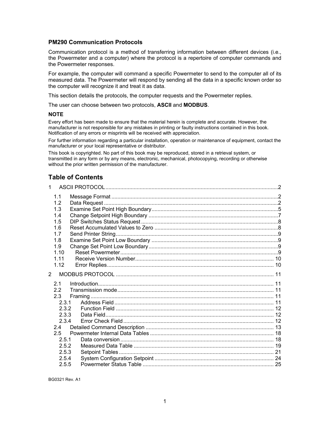#### **PM290 Communication Protocols**

Communication protocol is a method of transferring information between different devices (i.e., the Powermeter and a computer) where the protocol is a repertoire of computer commands and the Powermeter responses.

For example, the computer will command a specific Powermeter to send to the computer all of its measured data. The Powermeter will respond by sending all the data in a specific known order so the computer will recognize it and treat it as data.

This section details the protocols, the computer requests and the Powermeter replies.

The user can choose between two protocols, **ASCII** and **MODBUS**.

#### **NOTE**

Every effort has been made to ensure that the material herein is complete and accurate. However, the manufacturer is not responsible for any mistakes in printing or faulty instructions contained in this book. Notification of any errors or misprints will be received with appreciation.

For further information regarding a particular installation, operation or maintenance of equipment, contact the manufacturer or your local representative or distributor.

This book is copyrighted. No part of this book may be reproduced, stored in a retrieval system, or transmitted in any form or by any means, electronic, mechanical, photocopying, recording or otherwise without the prior written permission of the manufacturer.

## **Table of Contents**

| $\mathbf{1}$   |            |  |
|----------------|------------|--|
|                | 1.1<br>1.2 |  |
|                | 1.3        |  |
|                | 1.4        |  |
|                | 1.5        |  |
|                | 1.6        |  |
|                | 1.7        |  |
|                | 1.8        |  |
|                | 1.9        |  |
|                | 1.10       |  |
|                | 1 1 1      |  |
|                | 1.12       |  |
| $\overline{2}$ |            |  |
|                | 2.1        |  |
|                | 2.2        |  |
|                | 2.3        |  |
|                | 2.3.1      |  |
|                | 2.3.2      |  |
|                | 2.3.3      |  |
|                | 2.3.4      |  |
|                | 2.4        |  |
|                | 2.5        |  |
|                | 2.5.1      |  |
|                | 2.5.2      |  |
|                | 2.5.3      |  |
|                | 2.5.4      |  |
|                | 2.5.5      |  |

BG0321 Rev. A1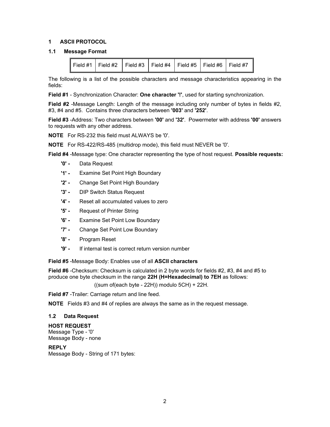#### <span id="page-2-0"></span>**1 ASCII PROTOCOL**

#### **1.1 Message Format**

<span id="page-2-1"></span>

|  | Field #1   Field #2   Field #3   Field #4   Field #5   Field #6   Field #7 |  |  |  |  |  |
|--|----------------------------------------------------------------------------|--|--|--|--|--|
|--|----------------------------------------------------------------------------|--|--|--|--|--|

The following is a list of the possible characters and message characteristics appearing in the fields:

**Field #1** - Synchronization Character: **One character '!'**, used for starting synchronization.

**Field #2** -Message Length: Length of the message including only number of bytes in fields #2, #3, #4 and #5. Contains three characters between **'003'** and **'252'**.

**Field #3** -Address: Two characters between **'00'** and **'32'**. Powermeter with address **'00'** answers to requests with any other address.

**NOTE** For RS-232 this field must ALWAYS be '0'.

**NOTE** For RS-422/RS-485 (multidrop mode), this field must NEVER be '0'.

**Field #4** -Message type: One character representing the type of host request. **Possible requests:** 

- **'0' -** Data Request
- **'1' -** Examine Set Point High Boundary
- **'2' -** Change Set Point High Boundary
- **'3' -** DIP Switch Status Request
- **'4' -** Reset all accumulated values to zero
- **'5' -** Request of Printer String
- **'6'** Examine Set Point Low Boundary
- **'7'** Change Set Point Low Boundary
- **'8'** Program Reset
- **'9' -** If internal test is correct return version number

**Field #5** -Message Body: Enables use of all **ASCII characters**

**Field #6** -Checksum: Checksum is calculated in 2 byte words for fields #2, #3, #4 and #5 to produce one byte checksum in the range **22H (H=Hexadecimal) to 7EH** as follows:

((sum of(each byte - 22H)) modulo 5CH) + 22H.

**Field #7** -Trailer: Carriage return and line feed.

**NOTE** Fields #3 and #4 of replies are always the same as in the request message.

#### <span id="page-2-2"></span>**1.2 Data Request**

**HOST REQUEST**  Message Type - '0' Message Body - none

**REPLY** 

Message Body - String of 171 bytes: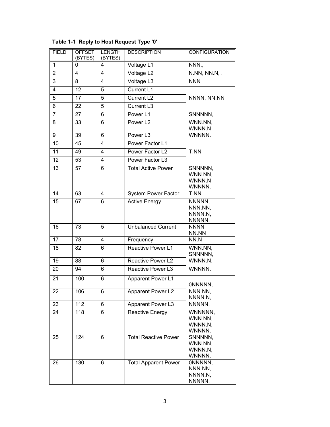| <b>FIELD</b>    | <b>OFFSET</b><br>(BYTES) | <b>LENGTH</b><br>(BYTES) | <b>DESCRIPTION</b>          | <b>CONFIGURATION</b> |
|-----------------|--------------------------|--------------------------|-----------------------------|----------------------|
| $\mathbf{1}$    | 0                        | 4                        | Voltage L1                  | NNN.,                |
| $\overline{2}$  | 4                        | $\overline{4}$           | Voltage L <sub>2</sub>      | N.NN, NN.N, .        |
| 3               | 8                        | 4                        | Voltage L3                  | <b>NNN</b>           |
| 4               | 12                       | 5                        | Current L1                  |                      |
| $\overline{5}$  | 17                       | 5                        | Current L <sub>2</sub>      | NNNN, NN.NN          |
| 6               | 22                       | 5                        | Current L3                  |                      |
| 7               | 27                       | 6                        | Power L1                    | SNNNNN,              |
| 8               | 33                       | 6                        | Power L <sub>2</sub>        | WNN.NN,              |
|                 |                          |                          |                             | WNNN.N               |
| 9               | 39                       | 6                        | Power L3                    | WNNNN.               |
| 10              | 45                       | 4                        | Power Factor L1             |                      |
| 11              | 49                       | 4                        | Power Factor L2             | T.NN                 |
| 12              | 53                       | 4                        | Power Factor L3             |                      |
| $\overline{13}$ | 57                       | 6                        | <b>Total Active Power</b>   | SNNNNN,<br>WNN.NN.   |
|                 |                          |                          |                             | WNNN.N               |
|                 |                          |                          |                             | WNNNN.               |
| 14              | 63                       | 4                        | <b>System Power Factor</b>  | T.NN                 |
| 15              | 67                       | 6                        | <b>Active Energy</b>        | NNNNN,               |
|                 |                          |                          |                             | NNN.NN,<br>NNNN.N,   |
|                 |                          |                          |                             | NNNNN.               |
| 16              | 73                       | 5                        | <b>Unbalanced Current</b>   | <b>NNNN</b>          |
|                 |                          |                          |                             | NN.NN                |
| 17              | 78                       | 4                        | Frequency                   | NN.N                 |
| 18              | 82                       | 6                        | Reactive Power L1           | WNN.NN,<br>SNNNNN,   |
| 19              | 88                       | 6                        | Reactive Power L2           | WNNN.N,              |
| 20              | 94                       | 6                        | Reactive Power L3           | WNNNN.               |
| $\overline{21}$ | 100                      | 6                        |                             |                      |
|                 |                          |                          | Apparent Power L1           | ONNNNN,              |
| 22              | 106                      | 6                        | Apparent Power L2           | NNN.NN,              |
|                 |                          |                          |                             | NNNN.N,              |
| 23              | 112                      | 6                        | Apparent Power L3           | NNNNN.               |
| 24              | 118                      | 6                        | Reactive Energy             | WNNNNN,              |
|                 |                          |                          |                             | WNN.NN,<br>WNNN.N,   |
|                 |                          |                          |                             | WNNNN.               |
| 25              | 124                      | 6                        | <b>Total Reactive Power</b> | SNNNNN,              |
|                 |                          |                          |                             | WNN.NN,              |
|                 |                          |                          |                             | WNNN.N,<br>WNNNN.    |
| 26              | 130                      | 6                        | <b>Total Apparent Power</b> | ONNNNN,              |
|                 |                          |                          |                             | NNN.NN,              |
|                 |                          |                          |                             | NNNN.N,              |
|                 |                          |                          |                             | NNNNN.               |

|  |  | Table 1-1 Reply to Host Request Type '0' |  |
|--|--|------------------------------------------|--|
|--|--|------------------------------------------|--|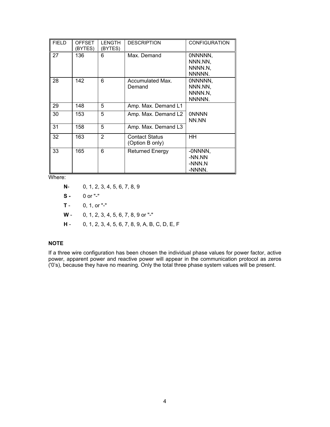| <b>FIELD</b> | <b>OFFSET</b><br>'BYTES) | <b>LENGTH</b><br>(BYTES) | <b>DESCRIPTION</b>                       | <b>CONFIGURATION</b>                    |
|--------------|--------------------------|--------------------------|------------------------------------------|-----------------------------------------|
| 27           | 136                      | 6                        | Max. Demand                              | ONNNNN,<br>NNN.NN,<br>NNNN.N.<br>NNNNN. |
| 28           | 142                      | 6                        | Accumulated Max.<br>Demand               | ONNNNN,<br>NNN.NN,<br>NNNN.N,<br>NNNNN. |
| 29           | 148                      | 5                        | Amp. Max. Demand L1                      |                                         |
| 30           | 153                      | 5                        | Amp. Max. Demand L2                      | <b>ONNNN</b><br>NN.NN                   |
| 31           | 158                      | 5                        | Amp. Max. Demand L3                      |                                         |
| 32           | 163                      | $\overline{2}$           | <b>Contact Status</b><br>(Option B only) | HН                                      |
| 33           | 165                      | 6                        | <b>Returned Energy</b>                   | -ONNNN,<br>-NN.NN<br>-NNN.N<br>-NNNN.   |

Where:

- **N** 0, 1, 2, 3, 4, 5, 6, 7, 8, 9
- **S -** 0 or "-"
- **T** 0, 1, or "-"
- **W** 0, 1, 2, 3, 4, 5, 6, 7, 8, 9 or "-"
- **H** 0, 1, 2, 3, 4, 5, 6, 7, 8, 9, A, B, C, D, E, F

#### **NOTE**

If a three wire configuration has been chosen the individual phase values for power factor, active power, apparent power and reactive power will appear in the communication protocol as zeros ('0's), because they have no meaning. Only the total three phase system values will be present.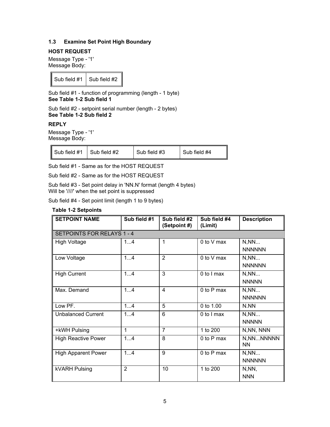#### <span id="page-5-0"></span>**1.3 Examine Set Point High Boundary**

#### **HOST REQUEST**

Message Type - '1' Message Body:

Sub field  $#1$  Sub field  $#2$ 

Sub field #1 - function of programming (length - 1 byte) **See Table 1-2 Sub field 1**

Sub field #2 - setpoint serial number (length - 2 bytes) **See Table 1-2 Sub field 2**

#### **REPLY**

Message Type - '1' Message Body:

| Sub field #1 Sub field #2 | Sub field #3 | Sub field #4 |
|---------------------------|--------------|--------------|
|                           |              |              |

Sub field #1 - Same as for the HOST REQUEST

Sub field #2 - Same as for the HOST REQUEST

Sub field #3 - Set point delay in 'NN.N' format (length 4 bytes) Will be '////' when the set point is suppressed

Sub field #4 - Set point limit (length 1 to 9 bytes)

#### **Table 1-2 Setpoints**

| <b>SETPOINT NAME</b>              | Sub field #1   | Sub field #2<br>(Setpoint #) | Sub field #4<br>(Limit) | <b>Description</b>      |
|-----------------------------------|----------------|------------------------------|-------------------------|-------------------------|
| <b>SETPOINTS FOR RELAYS 1 - 4</b> |                |                              |                         |                         |
| <b>High Voltage</b>               | 14             | 1                            | $0$ to $V$ max          | N, NN<br><b>NNNNNN</b>  |
| Low Voltage                       | 14             | $\overline{2}$               | 0 to V max              | N, NN<br><b>NNNNNN</b>  |
| <b>High Current</b>               | 14             | 3                            | 0 to I max              | N, NN<br><b>NNNNN</b>   |
| Max. Demand                       | 14             | 4                            | 0 to P max              | N, NN<br><b>NNNNNN</b>  |
| Low PF.                           | 14             | 5                            | 0 to 1.00               | N.NN                    |
| <b>Unbalanced Current</b>         | 14             | 6                            | 0 to I max              | N, NN<br><b>NNNNN</b>   |
| +kWH Pulsing                      | 1              | $\overline{7}$               | 1 to 200                | N, NN, NNN              |
| <b>High Reactive Power</b>        | 14             | 8                            | 0 to P max              | N, NNNNNNN<br><b>NN</b> |
| <b>High Apparent Power</b>        | 14             | 9                            | 0 to P max              | N, NN<br><b>NNNNNN</b>  |
| <b>kVARH Pulsing</b>              | $\overline{2}$ | 10                           | 1 to 200                | N, NN,<br><b>NNN</b>    |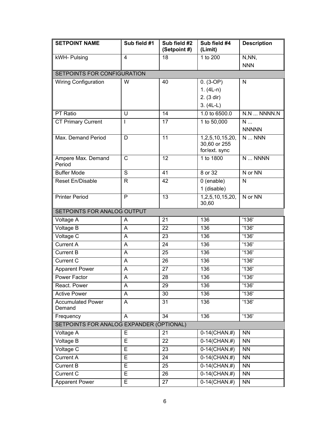| <b>SETPOINT NAME</b>                     | Sub field #1            | Sub field #2<br>(Setpoint #) | Sub field #4<br>(Limit)                          | <b>Description</b>      |  |
|------------------------------------------|-------------------------|------------------------------|--------------------------------------------------|-------------------------|--|
| kWH- Pulsing                             | $\overline{\mathbf{4}}$ | 18                           | 1 to 200                                         | N,NN,                   |  |
|                                          |                         |                              |                                                  | <b>NNN</b>              |  |
| SETPOINTS FOR CONFIGURATION              |                         |                              |                                                  |                         |  |
| <b>Wiring Configuration</b>              | W                       | 40                           | $0. (3-OP)$                                      | N                       |  |
|                                          |                         |                              | 1. $(4L-n)$                                      |                         |  |
|                                          |                         |                              | 2. (3 dir)                                       |                         |  |
|                                          |                         |                              | $3. (4L-L)$                                      |                         |  |
| PT Ratio                                 | U                       | 14                           | 1.0 to 6500.0                                    | $N.N$ $NNNN.N$          |  |
| <b>CT Primary Current</b>                | I                       | $\overline{17}$              | 1 to 50,000                                      | $\overline{\mathsf{N}}$ |  |
|                                          |                         |                              |                                                  | <b>NNNNN</b>            |  |
| Max. Demand Period                       | D                       | 11                           | 1,2,5,10,15,20,<br>30,60 or 255<br>for/ext. sync | $N$ $NNN$               |  |
| Ampere Max. Demand<br>Period             | $\mathsf{C}$            | 12                           | 1 to 1800                                        | N  NNNN                 |  |
| <b>Buffer Mode</b>                       | S                       | 41                           | 8 or 32                                          | N or NN                 |  |
| Reset En/Disable                         | $\mathsf{R}$            | 42                           | 0 (enable)                                       | N                       |  |
|                                          |                         |                              | 1 (disable)                                      |                         |  |
| <b>Printer Period</b>                    | P                       | 13                           | 1,2,5,10,15,20,<br>30,60                         | N or NN                 |  |
| SETPOINTS FOR ANALOG OUTPUT              |                         |                              |                                                  |                         |  |
| Voltage A                                | A                       | 21                           | 136                                              | '136'                   |  |
| Voltage B                                | A                       | 22                           | 136                                              | '136'                   |  |
| Voltage C                                | A                       | 23                           | 136                                              | '136'                   |  |
| Current A                                | A                       | 24                           | 136                                              | '136'                   |  |
| <b>Current B</b>                         | A                       | 25                           | 136                                              | '136'                   |  |
| Current C                                | A                       | 26                           | 136                                              | $\overline{136}$        |  |
| <b>Apparent Power</b>                    | A                       | 27                           | 136                                              | '136'                   |  |
| Power Factor                             | A                       | 28                           | 136                                              | '136'                   |  |
| React. Power                             | A                       | 29                           | 136                                              | '136'                   |  |
| <b>Active Power</b>                      | A                       | 30                           | 136                                              | '136'                   |  |
| <b>Accumulated Power</b><br>Demand       | A                       | 31                           | 136                                              | '136'                   |  |
| Frequency                                | A                       | 34                           | 136                                              | '136'                   |  |
| SETPOINTS FOR ANALOG EXPANDER (OPTIONAL) |                         |                              |                                                  |                         |  |
| Voltage A                                | E                       | 21                           | $0-14$ (CHAN.#)                                  | <b>NN</b>               |  |
| <b>Voltage B</b>                         | E                       | 22                           | $0-14$ (CHAN.#)                                  | <b>NN</b>               |  |
| Voltage C                                | E                       | 23                           | $0-14$ (CHAN.#)                                  | <b>NN</b>               |  |
| Current A                                | E                       | 24                           | $0-14$ (CHAN.#)                                  | <b>NN</b>               |  |
| <b>Current B</b>                         | E                       | 25                           | $0-14$ (CHAN.#)                                  | <b>NN</b>               |  |
| Current C                                | E                       | 26                           | $0-14$ (CHAN.#)                                  | <b>NN</b>               |  |
| <b>Apparent Power</b>                    | E                       | 27                           | $0-14$ (CHAN.#)                                  | <b>NN</b>               |  |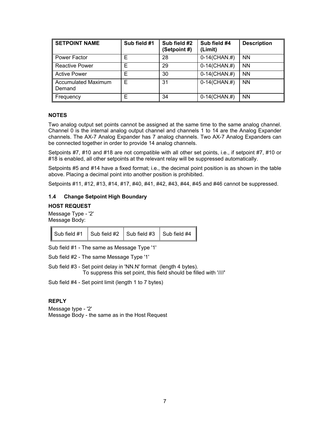| <b>SETPOINT NAME</b>                 | Sub field #1 | Sub field #2<br>(Setpoint #) | Sub field #4<br>(Limit) | <b>Description</b> |
|--------------------------------------|--------------|------------------------------|-------------------------|--------------------|
| Power Factor                         | Е            | 28                           | $0-14$ (CHAN.#)         | <b>NN</b>          |
| <b>Reactive Power</b>                | E            | 29                           | $0-14$ (CHAN.#)         | <b>NN</b>          |
| <b>Active Power</b>                  | Е            | 30                           | $0-14$ (CHAN.#)         | <b>NN</b>          |
| <b>Accumulated Maximum</b><br>Demand | E            | 31                           | $0-14$ (CHAN.#)         | <b>NN</b>          |
| Frequency                            | E            | 34                           | $0-14$ (CHAN.#)         | <b>NN</b>          |

#### **NOTES**

Two analog output set points cannot be assigned at the same time to the same analog channel. Channel 0 is the internal analog output channel and channels 1 to 14 are the Analog Expander channels. The AX-7 Analog Expander has 7 analog channels. Two AX-7 Analog Expanders can be connected together in order to provide 14 analog channels.

Setpoints #7, #10 and #18 are not compatible with all other set points, i.e., if setpoint #7, #10 or #18 is enabled, all other setpoints at the relevant relay will be suppressed automatically.

Setpoints #5 and #14 have a fixed format; i.e., the decimal point position is as shown in the table above. Placing a decimal point into another position is prohibited.

Setpoints #11, #12, #13, #14, #17, #40, #41, #42, #43, #44, #45 and #46 cannot be suppressed.

#### <span id="page-7-0"></span>**1.4 Change Setpoint High Boundary**

#### **HOST REQUEST**

Message Type - '2' Message Body:

| $\parallel$ Sub field #1 $\parallel$ Sub field #2 $\parallel$ Sub field #3 $\parallel$ Sub field #4 |  |  |
|-----------------------------------------------------------------------------------------------------|--|--|
|-----------------------------------------------------------------------------------------------------|--|--|

Sub field #1 - The same as Message Type '1'

Sub field #2 - The same Message Type '1'

Sub field #3 - Set point delay in 'NN.N' format (length 4 bytes). To suppress this set point, this field should be filled with '////'

Sub field #4 - Set point limit (length 1 to 7 bytes)

#### **REPLY**

Message type - '2' Message Body - the same as in the Host Request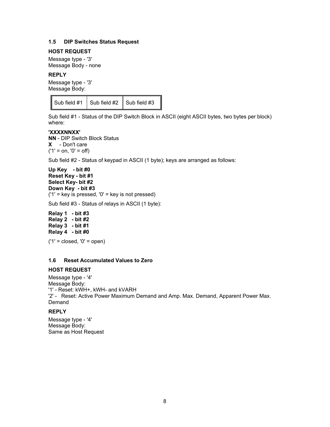#### <span id="page-8-0"></span>**1.5 DIP Switches Status Request**

#### **HOST REQUEST**

Message type - '3' Message Body - none

#### **REPLY**

Message type - '3' Message Body:

Sub field  $#1$  Sub field  $#2$  Sub field  $#3$ 

Sub field #1 - Status of the DIP Switch Block in ASCII (eight ASCII bytes, two bytes per block) where:

#### **'XXXXNNXX'**

**NN** - DIP Switch Block Status **X** - Don't care  $('1' = on, '0' = off)$ 

Sub field #2 - Status of keypad in ASCII (1 byte); keys are arranged as follows:

**Up Key - bit #0 Reset Key - bit #1 Select Key- bit #2 Down Key - bit #3**  $('1' = key is pressed, '0' = key is not pressed)$ 

Sub field #3 - Status of relays in ASCII (1 byte):

**Relay 1 - bit #3 Relay 2 - bit #2 Relay 3 - bit #1 Relay 4 - bit #0**

 $('1' = closed, '0' = open)$ 

#### <span id="page-8-1"></span>**1.6 Reset Accumulated Values to Zero**

#### **HOST REQUEST**

Message type - '4' Message Body: '1' - Reset: kWH+, kWH- and kVARH '2' - Reset: Active Power Maximum Demand and Amp. Max. Demand, Apparent Power Max. Demand

## **REPLY**

Message type - '4' Message Body: Same as Host Request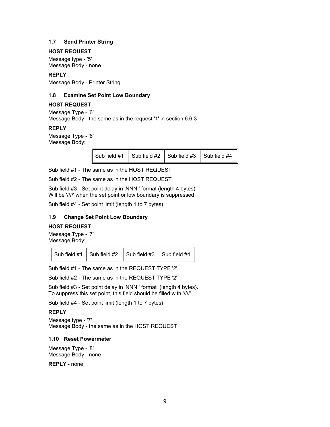#### <span id="page-9-0"></span>**1.7 Send Printer String**

#### **HOST REQUEST**

Message type - '5' Message Body - none

#### **REPLY**

Message Body - Printer String

#### <span id="page-9-1"></span>**1.8 Examine Set Point Low Boundary**

#### **HOST REQUEST**

Message Type - '6' Message Body - the same as in the request '1' in section 6.6.3

#### **REPLY**

Message Type - '6' Message Body:

Sub field  $#1$  Sub field  $#2$  Sub field  $#3$  Sub field  $#4$ 

Sub field #1 - The same as in the HOST REQUEST

Sub field #2 - The same as in the HOST REQUEST

Sub field #3 - Set point delay in 'NNN.' format (length 4 bytes) Will be '////' when the set point or low boundary is suppressed

Sub field #4 - Set point limit (length 1 to 7 bytes)

#### <span id="page-9-2"></span>**1.9 Change Set Point Low Boundary**

#### **HOST REQUEST**

Message Type - '7' Message Body:

|  | Sub field #1 $\vert$ Sub field #2 $\vert$ Sub field #3 $\vert$ Sub field #4 |  |  |
|--|-----------------------------------------------------------------------------|--|--|
|--|-----------------------------------------------------------------------------|--|--|

Sub field #1 - The same as in the REQUEST TYPE '2'

Sub field #2 - The same as in the REQUEST TYPE '2'

Sub field #3 - Set point delay in 'NNN.' format (length 4 bytes). To suppress this set point, this field should be filled with '////'

Sub field #4 - Set point limit (length 1 to 7 bytes)

#### **REPLY**

Message type - '7' Message Body - the same as in the HOST REQUEST

#### <span id="page-9-3"></span>**1.10 Reset Powermeter**

Message Type - '8' Message Body - none

**REPLY** - none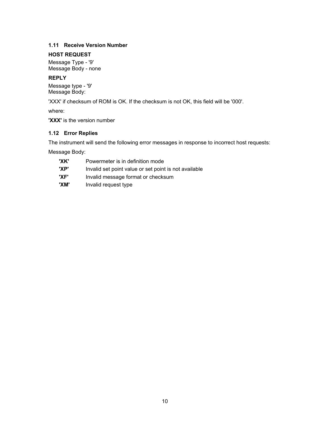### <span id="page-10-0"></span>**1.11 Receive Version Number**

## **HOST REQUEST**

Message Type - '9' Message Body - none

## **REPLY**

Message type - '9' Message Body:

'XXX' if checksum of ROM is OK. If the checksum is not OK, this field will be '000'.

where:

**'XXX'** is the version number

## <span id="page-10-1"></span>**1.12 Error Replies**

The instrument will send the following error messages in response to incorrect host requests:

Message Body:

| 'XK' | Powermeter is in definition mode                      |
|------|-------------------------------------------------------|
| 'XP' | Invalid set point value or set point is not available |
| 'XF' | Invalid message format or checksum                    |
| 'XM' | Invalid request type                                  |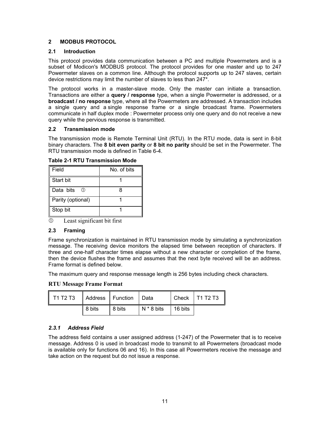#### <span id="page-11-0"></span>**2 MODBUS PROTOCOL**

#### <span id="page-11-1"></span>**2.1 Introduction**

This protocol provides data communication between a PC and multiple Powermeters and is a subset of Modicon's MODBUS protocol. The protocol provides for one master and up to 247 Powermeter slaves on a common line. Although the protocol supports up to 247 slaves, certain device restrictions may limit the number of slaves to less than 247\*.

The protocol works in a master-slave mode. Only the master can initiate a transaction. Transactions are either a **query / response** type, when a single Powermeter is addressed, or a **broadcast / no response** type, where all the Powermeters are addressed. A transaction includes a single query and a single response frame or a single broadcast frame. Powermeters communicate in half duplex mode : Powermeter process only one query and do not receive a new query while the pervious response is transmitted.

#### <span id="page-11-2"></span>**2.2 Transmission mode**

The transmission mode is Remote Terminal Unit (RTU). In the RTU mode, data is sent in 8-bit binary characters. The **8 bit even parity** or **8 bit no parity** should be set in the Powermeter. The RTU transmission mode is defined in Table 6-4.

| Field                   | No. of bits |
|-------------------------|-------------|
| Start bit               |             |
| Data bits<br>$\circled$ |             |
| Parity (optional)       |             |
| Stop bit                |             |

**Table 2-1 RTU Transmission Mode** 

 $\mathbb O$  Least significant bit first

#### <span id="page-11-3"></span>**2.3 Framing**

Frame synchronization is maintained in RTU transmission mode by simulating a synchronization message. The receiving device monitors the elapsed time between reception of characters. If three and one-half character times elapse without a new character or completion of the frame, then the device flushes the frame and assumes that the next byte received will be an address. Frame format is defined below.

The maximum query and response message length is 256 bytes including check characters.

**RTU Message Frame Format** 

| T1 T2 T3   Address   Function   Data |        |        |              |                        | Check   T1 T2 T3 $\parallel$ |
|--------------------------------------|--------|--------|--------------|------------------------|------------------------------|
|                                      | 8 bits | 8 bits | $N * 8$ bits | $\overline{1}$ 16 bits |                              |

#### <span id="page-11-4"></span>*2.3.1 Address Field*

The address field contains a user assigned address (1-247) of the Powermeter that is to receive message. Address 0 is used in broadcast mode to transmit to all Powermeters (broadcast mode is available only for functions 06 and 16). In this case all Powermeters receive the message and take action on the request but do not issue a response.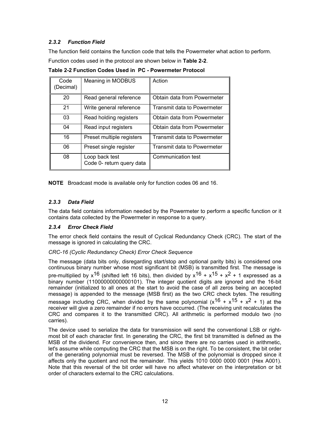## <span id="page-12-0"></span>*2.3.2 Function Field*

The function field contains the function code that tells the Powermeter what action to perform.

Function codes used in the protocol are shown below in **Table 2-2**.

| Code<br>Decimal) | Meaning in MODBUS                           | Action                      |
|------------------|---------------------------------------------|-----------------------------|
| 20               | Read general reference                      | Obtain data from Powermeter |
| 21               | Write general reference                     | Transmit data to Powermeter |
| 03               | Read holding registers                      | Obtain data from Powermeter |
| 04               | Read input registers                        | Obtain data from Powermeter |
| 16               | Preset multiple registers                   | Transmit data to Powermeter |
| 06               | Preset single register                      | Transmit data to Powermeter |
| 08               | Loop back test<br>Code 0- return query data | Communication test          |

**Table 2-2 Function Codes Used in PC - Powermeter Protocol** 

**NOTE** Broadcast mode is available only for function codes 06 and 16.

## <span id="page-12-1"></span>*2.3.3 Data Field*

The data field contains information needed by the Powermeter to perform a specific function or it contains data collected by the Powermeter in response to a query.

#### <span id="page-12-2"></span>*2.3.4 Error Check Field*

The error check field contains the result of Cyclical Redundancy Check (CRC). The start of the message is ignored in calculating the CRC.

#### *CRC-16 (Cyclic Redundancy Check) Error Check Sequence*

The message (data bits only, disregarding start/stop and optional parity bits) is considered one continuous binary number whose most significant bit (MSB) is transmitted first. The message is pre-multiplied by  $x^{16}$  (shifted left 16 bits), then divided by  $x^{16} + x^{15} + x^{2} + 1$  expressed as a binary number (11000000000000101). The integer quotient digits are ignored and the 16-bit remainder (initialized to all ones at the start to avoid the case of all zeros being an accepted message) is appended to the message (MSB first) as the two CRC check bytes. The resulting message including CRC, when divided by the same polynomial  $(x^{16} + x^{15} + x^2 + 1)$  at the receiver will give a zero remainder if no errors have occurred. (The receiving unit recalculates the CRC and compares it to the transmitted CRC). All arithmetic is performed modulo two (no carries).

The device used to serialize the data for transmission will send the conventional LSB or rightmost bit of each character first. In generating the CRC, the first bit transmitted is defined as the MSB of the dividend. For convenience then, and since there are no carries used in arithmetic, let's assume while computing the CRC that the MSB is on the right. To be consistent, the bit order of the generating polynomial must be reversed. The MSB of the polynomial is dropped since it affects only the quotient and not the remainder. This yields 1010 0000 0000 0001 (Hex A001). Note that this reversal of the bit order will have no affect whatever on the interpretation or bit order of characters external to the CRC calculations.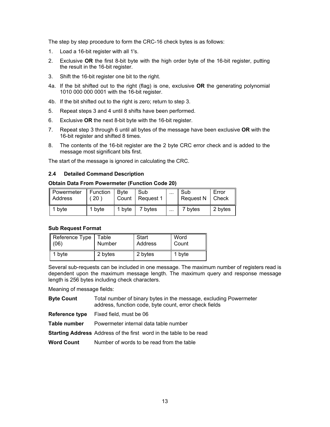The step by step procedure to form the CRC-16 check bytes is as follows:

- 1. Load a 16-bit register with all 1's.
- 2. Exclusive **OR** the first 8-bit byte with the high order byte of the 16-bit register, putting the result in the 16-bit register.
- 3. Shift the 16-bit register one bit to the right.
- 4a. If the bit shifted out to the right (flag) is one, exclusive **OR** the generating polynomial 1010 000 000 0001 with the 16-bit register.
- 4b. If the bit shifted out to the right is zero; return to step 3.
- 5. Repeat steps 3 and 4 until 8 shifts have been performed.
- 6. Exclusive **OR** the next 8-bit byte with the 16-bit register.
- 7. Repeat step 3 through 6 until all bytes of the message have been exclusive **OR** with the 16-bit register and shifted 8 times.
- 8. The contents of the 16-bit register are the 2 byte CRC error check and is added to the message most significant bits first.

The start of the message is ignored in calculating the CRC.

#### <span id="page-13-0"></span>**2.4 Detailed Command Description**

#### **Obtain Data From Powermeter (Function Code 20)**

| Powermeter<br><b>Address</b> | Function<br><b>20</b> | <b>B</b> vte | Sub<br>Count   Request 1 | $\cdots$ | Sub<br>Request N | Error<br>Check |
|------------------------------|-----------------------|--------------|--------------------------|----------|------------------|----------------|
| byte                         | 1 byte                | 1 byte       | 7 bytes                  | $\cdots$ | 7 bvtes          | 2 bytes        |

#### **Sub Request Format**

| Reference Type<br>(06) | Table   | Start   | Word   |
|------------------------|---------|---------|--------|
|                        | Number  | Address | Count  |
| 1 byte                 | 2 bytes | 2 bytes | 1 byte |

Several sub-requests can be included in one message. The maximum number of registers read is dependent upon the maximum message length. The maximum query and response message length is 256 bytes including check characters.

Meaning of message fields:

- **Byte Count** Total number of binary bytes in the message, excluding Powermeter address, function code, byte count, error check fields
- **Reference type** Fixed field, must be 06
- **Table number** Powermeter internal data table number
- **Starting Address** Address of the first word in the table to be read
- **Word Count** Number of words to be read from the table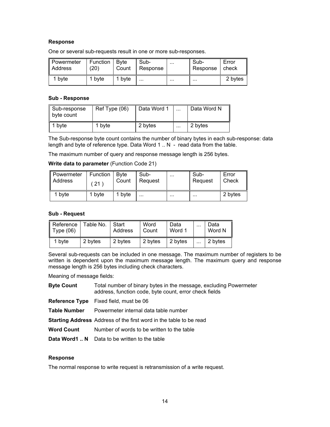#### **Response**

One or several sub-requests result in one or more sub-responses.

| ll Powermeter | Function | <b>B</b> vte | Sub-     | $\cdots$ | Sub-     | Error   |
|---------------|----------|--------------|----------|----------|----------|---------|
| ll Address    | (20)     | Count        | Response |          | Response | check   |
| byte          | bvte     | byte         | $\cdots$ |          |          | 2 bytes |

#### **Sub - Response**

| Sub-response<br>byte count | Ref Type (06)     | Data Word 1 | $\cdots$ | Data Word N |
|----------------------------|-------------------|-------------|----------|-------------|
| 1 byte                     | <sup>1</sup> byte | 2 bytes     | $\cdots$ | 2 bytes     |

The Sub-response byte count contains the number of binary bytes in each sub-response: data length and byte of reference type. Data Word 1 .. N - read data from the table.

The maximum number of query and response message length is 256 bytes.

#### **Write data to parameter** (Function Code 21)

| Powermeter | Function | ∣ B∨te | Sub-     | $\cdots$ | Sub-     | Error   |
|------------|----------|--------|----------|----------|----------|---------|
| Address    | 21       | Count  | Request  |          | Request  | Check   |
| 1 byte     | 1 byte   | 1 byte | $\cdots$ |          | $\cdots$ | 2 bytes |

#### **Sub - Request**

| $\parallel$ Reference<br>$\parallel$ Type (06) | Table No. | Start<br>Address | Word<br>Count | Data<br>Word 1 | $\cdots$ | Data<br>Word N |
|------------------------------------------------|-----------|------------------|---------------|----------------|----------|----------------|
| 1 byte                                         | 2 bytes   | 2 bytes          | 2 bytes       | 2 bytes        | .        | 2 bytes        |

Several sub-requests can be included in one message. The maximum number of registers to be written is dependent upon the maximum message length. The maximum query and response message length is 256 bytes including check characters.

Meaning of message fields:

**Byte Count** Total number of binary bytes in the message, excluding Powermeter address, function code, byte count, error check fields

**Reference Type** Fixed field, must be 06

**Table Number** Powermeter internal data table number

**Starting Address** Address of the first word in the table to be read

Word Count Number of words to be written to the table

**Data Word1 .. N** Data to be written to the table

#### **Response**

The normal response to write request is retransmission of a write request.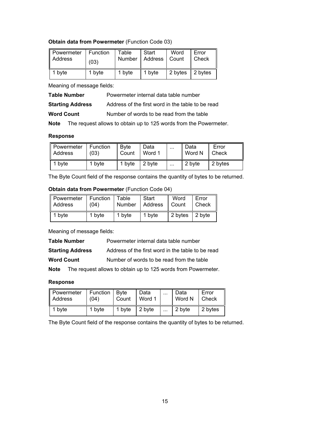#### **Obtain data from Powermeter** (Function Code 03)

| ∥ Powermeter | Function | Table  | Start           | Word    | Error   |
|--------------|----------|--------|-----------------|---------|---------|
| Address      | (03)     | Number | Address   Count |         | Check   |
| 1 byte       | 1 byte   | 1 byte | 1 byte          | 2 bytes | 2 bytes |

Meaning of message fields:

| <b>Table Number</b>     | Powermeter internal data table number             |  |  |  |
|-------------------------|---------------------------------------------------|--|--|--|
| <b>Starting Address</b> | Address of the first word in the table to be read |  |  |  |

**Word Count Number of words to be read from the table** 

**Note** The request allows to obtain up to 125 words from the Powermeter.

#### **Response**

| ∥ Powermeter | Function | <b>B</b> vte | Data   | $\cdots$ | Data   | Error   |
|--------------|----------|--------------|--------|----------|--------|---------|
| Address      | (03)     | Count        | Word 1 |          | Word N | Check   |
| l byte       | I bvte   | 1 byte       | 2 byte | $\cdots$ | 2 byte | 2 bytes |

The Byte Count field of the response contains the quantity of bytes to be returned.

#### **Obtain data from Powermeter** (Function Code 04)

| Powermeter | Function | Table         | Start   | Word                   | Error |
|------------|----------|---------------|---------|------------------------|-------|
| Address    | (04)     | <b>Number</b> | Address | Count                  | Check |
| 1 byte     | 1 byte   | 1 byte        | 1 byte  | 2 bytes $\vert$ 2 byte |       |

Meaning of message fields:

| <b>Table Number</b>     | Powermeter internal data table number             |
|-------------------------|---------------------------------------------------|
| <b>Starting Address</b> | Address of the first word in the table to be read |
| <b>Word Count</b>       | Number of words to be read from the table         |

**Note** The request allows to obtain up to 125 words from Powermeter.

## **Response**

| Powermeter | Function | <b>B</b> vte | Data   | $\cdots$ | Data   | Error   |
|------------|----------|--------------|--------|----------|--------|---------|
| Address    | (04)     | Count        | Word 1 |          | Word N | Check   |
| 1 byte     | 1 byte   | 1 byte       | 2 byte | $\cdots$ | 2 byte | 2 bytes |

The Byte Count field of the response contains the quantity of bytes to be returned.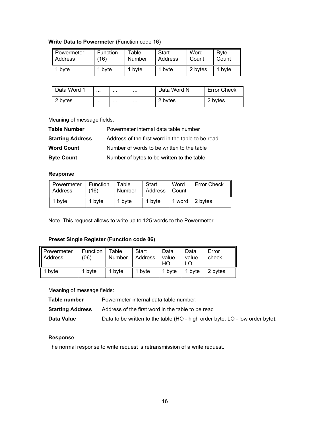## **Write Data to Powermeter** (Function code 16)

| Powermeter | Function | Table  | Start   | Word    | <b>B</b> vte |
|------------|----------|--------|---------|---------|--------------|
| I Address  | (16)     | Number | Address | Count   | Count        |
| byte       | 1 byte   | 1 byte | 1 byte  | 2 bytes | bvte         |

| Data Word 1 | $\cdots$ | $\cdots$ | $\cdots$ | Data Word N | <b>Error Check</b> |
|-------------|----------|----------|----------|-------------|--------------------|
| 2 bytes     | $\cdots$ | $\cdots$ | $\cdots$ | 2 bytes     | 2 bytes            |

Meaning of message fields:

| <b>Table Number</b>     | Powermeter internal data table number             |
|-------------------------|---------------------------------------------------|
| <b>Starting Address</b> | Address of the first word in the table to be read |
| <b>Word Count</b>       | Number of words to be written to the table        |
| <b>Byte Count</b>       | Number of bytes to be written to the table        |

#### **Response**

| Powermeter     | Function | Table  | Start   | Word  | <b>Error Check</b> |
|----------------|----------|--------|---------|-------|--------------------|
| <b>Address</b> | (16)     | Number | Address | Count |                    |
| 1 byte         | 1 byte   | 1 byte | 1 byte  |       | 1 word 2 bytes     |

Note This request allows to write up to 125 words to the Powermeter.

#### **Preset Single Register (Function code 06)**

| Powermeter<br>Address | Function<br>(06) | Table<br>Number | Start<br>Address | Data<br>value<br>HO | Data<br>value | Error<br>check |
|-----------------------|------------------|-----------------|------------------|---------------------|---------------|----------------|
| byte                  | 1 byte           | 1 byte          | 1 byte           | 1 byte              | 1 byte        | 2 bytes        |

Meaning of message fields:

| Table number            | Powermeter internal data table number;                                       |
|-------------------------|------------------------------------------------------------------------------|
| <b>Starting Address</b> | Address of the first word in the table to be read                            |
| Data Value              | Data to be written to the table (HO - high order byte, LO - low order byte). |

## **Response**

The normal response to write request is retransmission of a write request.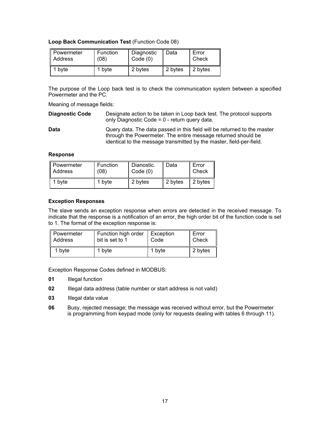**Loop Back Communication Test** (Function Code 08)

| Powermeter | Function | Diagnostic | Data    | Error   |
|------------|----------|------------|---------|---------|
| Address    | (08)     | Code(0)    |         | Check   |
| 1 byte     | 1 byte   | 2 bytes    | 2 bytes | 2 bytes |

The purpose of the Loop back test is to check the communication system between a specified Powermeter and the PC.

Meaning of message fields:

**Diagnostic Code** Designate action to be taken in Loop back test. The protocol supports only Diagnostic Code = 0 - return query data.

**Data Query data. The data passed in this field will be returned to the master** through the Powermeter. The entire message returned should be identical to the message transmitted by the master, field-per-field.

#### **Response**

| Powermeter | Function | Dianostic. | Data    | Error   |
|------------|----------|------------|---------|---------|
| Address    | (08)     | Code(0)    |         | Check   |
| 1 byte     | 1 byte   | 2 bytes    | 2 bytes | 2 bytes |

#### **Exception Responses**

The slave sends an exception response when errors are detected in the received message. To indicate that the response is a notification of an error, the high order bit of the function code is set to 1. The format of the exception response is:

| Powermeter     | Function high order | Exception | Error   |
|----------------|---------------------|-----------|---------|
| <b>Address</b> | bit is set to 1     | Code      | Check   |
| 1 byte         | 1 byte              | 1 byte    | 2 bytes |

Exception Response Codes defined in MODBUS:

- **01** Illegal function
- **02** Illegal data address (table number or start address is not valid)
- **03** Illegal data value
- **06** Busy, rejected message; the message was received without error, but the Powermeter is programming from keypad mode (only for requests dealing with tables 6 through 11).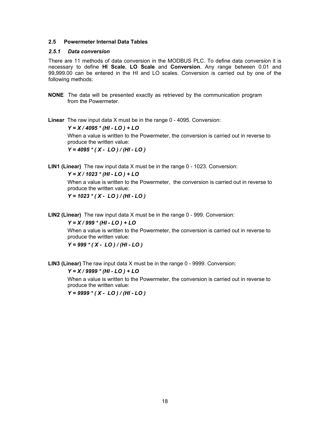#### <span id="page-18-0"></span>**2.5 Powermeter Internal Data Tables**

#### <span id="page-18-1"></span>*2.5.1 Data conversion*

There are 11 methods of data conversion in the MODBUS PLC. To define data conversion it is necessary to define **HI Scale**, **LO Scale** and **Conversion**. Any range between 0.01 and 99,999.00 can be entered in the HI and LO scales. Conversion is carried out by one of the following methods:

**NONE** The data will be presented exactly as retrieved by the communication program from the Powermeter.

**Linear** The raw input data X must be in the range 0 - 4095. Conversion:

*Y = X / 4095 \* (HI - LO ) + LO* 

When a value is written to the Powermeter, the conversion is carried out in reverse to produce the written value:

*Y = 4095 \* ( X - LO ) / (HI - LO )* 

**LIN1 (Linear)** The raw input data X must be in the range 0 - 1023. Conversion:

*Y = X / 1023 \* (HI - LO ) + LO* 

When a value is written to the Powermeter, the conversion is carried out in reverse to produce the written value:

*Y = 1023 \* ( X - LO ) / (HI - LO )* 

**LIN2 (Linear)** The raw input data X must be in the range 0 - 999. Conversion:

*Y = X / 999 \* (HI - LO ) + LO* 

When a value is written to the Powermeter, the conversion is carried out in reverse to produce the written value:

*Y = 999 \* ( X - LO ) / (HI - LO )* 

**LIN3 (Linear)** The raw input data X must be in the range 0 - 9999. Conversion:

#### *Y = X / 9999 \* (HI - LO ) + LO*

When a value is written to the Powermeter, the conversion is carried out in reverse to produce the written value:

*Y = 9999 \* ( X - LO ) / (HI - LO )*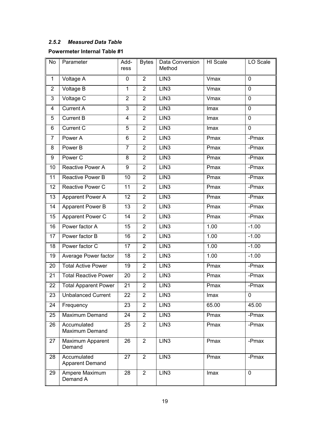## <span id="page-19-0"></span>*2.5.2 Measured Data Table*

## **Powermeter Internal Table #1**

| <b>No</b>               | Parameter                             | Add-<br>ress   | <b>Bytes</b>   | Data Conversion<br>Method | HI Scale | LO Scale    |
|-------------------------|---------------------------------------|----------------|----------------|---------------------------|----------|-------------|
| 1                       | Voltage A                             | 0              | $\overline{2}$ | LIN <sub>3</sub>          | Vmax     | 0           |
| $\overline{2}$          | Voltage B                             | $\mathbf{1}$   | $\overline{2}$ | LIN <sub>3</sub>          | Vmax     | $\mathbf 0$ |
| 3                       | Voltage C                             | $\overline{2}$ | $\overline{2}$ | LIN <sub>3</sub>          | Vmax     | $\mathbf 0$ |
| $\overline{\mathbf{4}}$ | <b>Current A</b>                      | 3              | $\overline{2}$ | LIN3                      | Imax     | $\mathbf 0$ |
| 5                       | <b>Current B</b>                      | 4              | $\overline{2}$ | LIN <sub>3</sub>          | Imax     | $\mathbf 0$ |
| 6                       | Current C                             | 5              | $\overline{2}$ | LIN <sub>3</sub>          | Imax     | 0           |
| $\overline{7}$          | Power A                               | 6              | $\overline{2}$ | LIN3                      | Pmax     | $-Pmax$     |
| 8                       | Power B                               | $\overline{7}$ | $\overline{2}$ | LIN <sub>3</sub>          | Pmax     | -Pmax       |
| 9                       | Power C                               | 8              | $\overline{2}$ | LIN <sub>3</sub>          | Pmax     | -Pmax       |
| 10                      | Reactive Power A                      | 9              | $\overline{2}$ | LIN3                      | Pmax     | -Pmax       |
| 11                      | Reactive Power B                      | 10             | $\overline{2}$ | LIN <sub>3</sub>          | Pmax     | -Pmax       |
| 12                      | Reactive Power C                      | 11             | $\overline{2}$ | LIN <sub>3</sub>          | Pmax     | -Pmax       |
| 13                      | Apparent Power A                      | 12             | $\overline{2}$ | LIN3                      | Pmax     | -Pmax       |
| 14                      | Apparent Power B                      | 13             | $\overline{2}$ | LIN <sub>3</sub>          | Pmax     | -Pmax       |
| 15                      | Apparent Power C                      | 14             | $\overline{2}$ | LIN <sub>3</sub>          | Pmax     | -Pmax       |
| 16                      | Power factor A                        | 15             | $\overline{2}$ | LIN3                      | 1.00     | $-1.00$     |
| 17                      | Power factor B                        | 16             | $\overline{2}$ | LIN <sub>3</sub>          | 1.00     | $-1.00$     |
| 18                      | Power factor C                        | 17             | $\overline{2}$ | LIN <sub>3</sub>          | 1.00     | $-1.00$     |
| 19                      | Average Power factor                  | 18             | $\overline{2}$ | LIN <sub>3</sub>          | 1.00     | $-1.00$     |
| 20                      | <b>Total Active Power</b>             | 19             | $\overline{2}$ | LIN <sub>3</sub>          | Pmax     | -Pmax       |
| 21                      | <b>Total Reactive Power</b>           | 20             | $\overline{2}$ | LIN <sub>3</sub>          | Pmax     | -Pmax       |
| 22                      | <b>Total Apparent Power</b>           | 21             | $\overline{2}$ | LIN <sub>3</sub>          | Pmax     | -Pmax       |
| 23                      | <b>Unbalanced Current</b>             | 22             | $\overline{2}$ | LIN <sub>3</sub>          | Imax     | 0           |
| 24                      | Frequency                             | 23             | $\overline{2}$ | LIN <sub>3</sub>          | 65.00    | 45.00       |
| 25                      | Maximum Demand                        | 24             | $\overline{2}$ | LIN <sub>3</sub>          | Pmax     | -Pmax       |
| 26                      | Accumulated<br>Maximum Demand         | 25             | $\overline{2}$ | LIN <sub>3</sub>          | Pmax     | -Pmax       |
| 27                      | Maximum Apparent<br>Demand            | 26             | $\overline{2}$ | LIN3                      | Pmax     | -Pmax       |
| 28                      | Accumulated<br><b>Apparent Demand</b> | 27             | $\overline{2}$ | LIN <sub>3</sub>          | Pmax     | -Pmax       |
| 29                      | Ampere Maximum<br>Demand A            | 28             | $\overline{2}$ | LIN <sub>3</sub>          | Imax     | $\mathbf 0$ |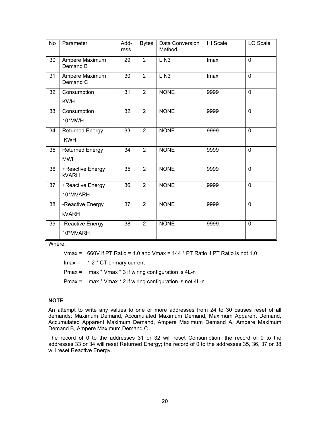| <b>No</b> | Parameter                            | Add-<br>ress | <b>Bytes</b>   | Data Conversion<br>Method | HI Scale | LO Scale       |
|-----------|--------------------------------------|--------------|----------------|---------------------------|----------|----------------|
| 30        | Ampere Maximum<br>Demand B           | 29           | $\overline{2}$ | LIN <sub>3</sub>          | Imax     | $\overline{0}$ |
| 31        | Ampere Maximum<br>Demand C           | 30           | $\overline{2}$ | LIN <sub>3</sub>          | Imax     | $\overline{0}$ |
| 32        | Consumption<br><b>KWH</b>            | 31           | $\overline{2}$ | <b>NONE</b>               | 9999     | $\overline{0}$ |
| 33        | Consumption<br>10*MWH                | 32           | $\overline{2}$ | <b>NONE</b>               | 9999     | 0              |
| 34        | <b>Returned Energy</b><br><b>KWH</b> | 33           | $\overline{2}$ | <b>NONE</b>               | 9999     | 0              |
| 35        | <b>Returned Energy</b><br><b>MWH</b> | 34           | $\overline{2}$ | <b>NONE</b>               | 9999     | 0              |
| 36        | +Reactive Energy<br><b>kVARH</b>     | 35           | $\overline{2}$ | <b>NONE</b>               | 9999     | 0              |
| 37        | +Reactive Energy<br>10*MVARH         | 36           | $\overline{2}$ | <b>NONE</b>               | 9999     | 0              |
| 38        | -Reactive Energy<br><b>kVARH</b>     | 37           | $\overline{2}$ | <b>NONE</b>               | 9999     | 0              |
| 39        | -Reactive Energy<br>10*MVARH         | 38           | $\overline{2}$ | <b>NONE</b>               | 9999     | 0              |

Where:

Vmax =  $660V$  if PT Ratio = 1.0 and Vmax = 144  $*$  PT Ratio if PT Ratio is not 1.0

 $Imax = 1.2 * CT primary current$ 

Pmax = Imax \* Vmax \* 3 if wiring configuration is 4L-n

Pmax = Imax \* Vmax \* 2 if wiring configuration is not 4L-n

### **NOTE**

An attempt to write any values to one or more addresses from 24 to 30 causes reset of all demands: Maximum Demand, Accumulated Maximum Demand, Maximum Apparent Demand, Accumulated Apparent Maximum Demand, Ampere Maximum Demand A, Ampere Maximum Demand B, Ampere Maximum Demand C.

The record of 0 to the addresses 31 or 32 will reset Consumption; the record of 0 to the addresses 33 or 34 will reset Returned Energy; the record of 0 to the addresses 35, 36, 37 or 38 will reset Reactive Energy.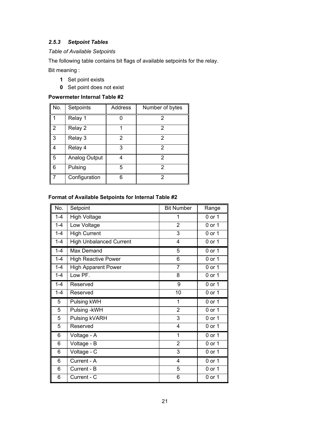## <span id="page-21-0"></span>*2.5.3 Setpoint Tables*

#### *Table of Available Setpoints*

The following table contains bit flags of available setpoints for the relay.

Bit meaning :

- **1** Set point exists
- **0** Set point does not exist

## **Powermeter Internal Table #2**

| No.            | Setpoints     | <b>Address</b> | Number of bytes |
|----------------|---------------|----------------|-----------------|
|                | Relay 1       | O              | 2               |
| $\overline{2}$ | Relay 2       |                | 2               |
| 3              | Relay 3       | 2              | 2               |
| 4              | Relay 4       | 3              | 2               |
| 5              | Analog Output | 4              | 2               |
| 6              | Pulsing       | 5              | 2               |
|                | Configuration | 6              | 2               |

## **Format of Available Setpoints for Internal Table #2**

| No.     | Setpoint                       | <b>Bit Number</b> | Range      |
|---------|--------------------------------|-------------------|------------|
| $1 - 4$ | <b>High Voltage</b>            | 1                 | 0 or 1     |
| $1 - 4$ | Low Voltage                    | $\overline{2}$    | 0 or 1     |
| $1 - 4$ | <b>High Current</b>            | 3                 | 0 or 1     |
| $1 - 4$ | <b>High Unbalanced Current</b> | 4                 | 0 or 1     |
| $1 - 4$ | <b>Max Demand</b>              | $\overline{5}$    | $0$ or $1$ |
| $1 - 4$ | <b>High Reactive Power</b>     | 6                 | $0$ or $1$ |
| $1 - 4$ | <b>High Apparent Power</b>     | $\overline{7}$    | 0 or 1     |
| $1 - 4$ | Low PF.                        | $\overline{8}$    | 0 or 1     |
| $1 - 4$ | Reserved                       | 9                 | 0 or 1     |
| $1 - 4$ | Reserved                       | 10                | $0$ or $1$ |
| 5       | Pulsing kWH                    | 1                 | 0 or 1     |
| 5       | Pulsing - kWH                  | $\overline{2}$    | 0 or 1     |
| 5       | Pulsing kVARH                  | 3                 | 0 or 1     |
| 5       | Reserved                       | 4                 | $0$ or $1$ |
| 6       | Voltage - A                    | 1                 | 0 or 1     |
| 6       | Voltage - B                    | $\overline{2}$    | $0$ or $1$ |
| 6       | Voltage - C                    | 3                 | 0 or 1     |
| 6       | Current - A                    | 4                 | 0 or 1     |
| 6       | Current - B                    | 5                 | 0 or 1     |
| 6       | Current - C                    | 6                 | $0$ or $1$ |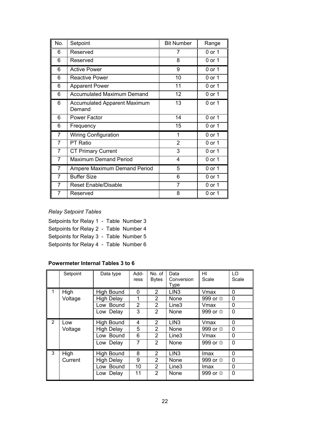| No.            | Setpoint                                      | <b>Bit Number</b> | Range  |
|----------------|-----------------------------------------------|-------------------|--------|
| 6              | Reserved                                      | 7                 | 0 or 1 |
| 6              | Reserved                                      | 8                 | 0 or 1 |
| 6              | <b>Active Power</b>                           | 9                 | 0 or 1 |
| 6              | <b>Reactive Power</b>                         | 10                | 0 or 1 |
| 6              | <b>Apparent Power</b>                         | 11                | 0 or 1 |
| 6              | <b>Accumulated Maximum Demand</b>             | 12                | 0 or 1 |
| 6              | <b>Accumulated Apparent Maximum</b><br>Demand | 13                | 0 or 1 |
| 6              | <b>Power Factor</b>                           | 14                | 0 or 1 |
| 6              | Frequency                                     | 15                | 0 or 1 |
| 7              | <b>Wiring Configuration</b>                   | 1                 | 0 or 1 |
| $\overline{7}$ | <b>PT Ratio</b>                               | $\overline{2}$    | 0 or 1 |
| $\overline{7}$ | <b>CT Primary Current</b>                     | 3                 | 0 or 1 |
| 7              | <b>Maximum Demand Period</b>                  | 4                 | 0 or 1 |
| 7              | Ampere Maximum Demand Period                  | 5                 | 0 or 1 |
| 7              | <b>Buffer Size</b>                            | 6                 | 0 or 1 |
| 7              | Reset Enable/Disable                          | 7                 | 0 or 1 |
| 7              | Reserved                                      | 8                 | 0 or 1 |

## *Relay Setpoint Tables*

| Setpoints for Relay 1 - Table Number 3 |  |
|----------------------------------------|--|
| Setpoints for Relay 2 - Table Number 4 |  |
| Setpoints for Relay 3 - Table Number 5 |  |
| Setpoints for Relay 4 - Table Number 6 |  |

## **Powermeter Internal Tables 3 to 6**

|                | Setpoint | Data type         | Add-<br>ress   | No. of<br><b>Bytes</b> | Data<br>Conversion | HI<br>Scale           | LO<br>Scale |
|----------------|----------|-------------------|----------------|------------------------|--------------------|-----------------------|-------------|
|                |          |                   |                |                        | <b>Type</b>        |                       |             |
| 1              | High     | High Bound        | 0              | $\overline{2}$         | LIN <sub>3</sub>   | Vmax                  | 0           |
|                | Voltage  | <b>High Delay</b> | 1              | $\overline{2}$         | None               | 999 or <sup>10</sup>  | $\Omega$    |
|                |          | Low Bound         | $\overline{2}$ | $\overline{2}$         | Line3              | Vmax                  | 0           |
|                |          | Low Delay         | 3              | $\overline{2}$         | None               | 999 or $\circledcirc$ | $\Omega$    |
| $\overline{2}$ | Low      | <b>High Bound</b> | 4              | $\overline{2}$         | LIN <sub>3</sub>   | Vmax                  | $\Omega$    |
|                | Voltage  | <b>High Delay</b> | 5              | 2                      | None               | 999 or 0              | 0           |
|                |          | Low Bound         | 6              | $\mathcal{P}$          | Line3              | Vmax                  | $\Omega$    |
|                |          | Low Delay         | 7              | $\overline{2}$         | <b>None</b>        | 999 or <sup>10</sup>  | 0           |
| 3              | High     | High Bound        | 8              | 2                      | LIN <sub>3</sub>   | lmax                  | 0           |
|                | Current  | <b>High Delay</b> | 9              | 2                      | None               | 999 or 0              | $\Omega$    |
|                |          | Low Bound         | 10             | $\overline{2}$         | Line3              | lmax                  | 0           |
|                |          | Low Delay         | 11             | $\overline{2}$         | None               | 999 or 0              | 0           |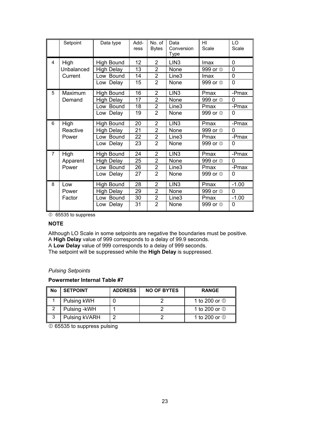|                | Setpoint   | Data type         | Add-<br>ress | No. of<br><b>Bytes</b> | Data<br>Conversion<br>Type | HI<br>Scale           | LO<br>Scale |
|----------------|------------|-------------------|--------------|------------------------|----------------------------|-----------------------|-------------|
| 4              | High       | High Bound        | 12           | $\overline{2}$         | LIN <sub>3</sub>           | Imax                  | 0           |
|                | Unbalanced | <b>High Delay</b> | 13           | $\overline{2}$         | None                       | 999 or <sup>10</sup>  | 0           |
|                | Current    | Low Bound         | 14           | $\overline{2}$         | Line3                      | Imax                  | 0           |
|                |            | Low Delay         | 15           | $\overline{2}$         | None                       | 999 or $\circledcirc$ | 0           |
| 5              | Maximum    | <b>High Bound</b> | 16           | $\overline{2}$         | LIN <sub>3</sub>           | Pmax                  | -Pmax       |
|                | Demand     | <b>High Delay</b> | 17           | $\overline{2}$         | None                       | 999 or <sup>10</sup>  | $\Omega$    |
|                |            | Low Bound         | 18           | $\overline{2}$         | Line3                      | Pmax                  | -Pmax       |
|                |            | Low Delay         | 19           | $\overline{2}$         | None                       | 999 or <sup>10</sup>  | $\Omega$    |
| 6              | High       | High Bound        | 20           | $\overline{2}$         | LIN <sub>3</sub>           | Pmax                  | -Pmax       |
|                | Reactive   | <b>High Delay</b> | 21           | $\overline{2}$         | None                       | 999 or <sup>10</sup>  | 0           |
|                | Power      | Low Bound         | 22           | $\overline{2}$         | Line3                      | Pmax                  | -Pmax       |
|                |            | Low Delay         | 23           | $\overline{2}$         | None                       | 999 or <sup>10</sup>  | 0           |
| $\overline{7}$ | High       | <b>High Bound</b> | 24           | $\overline{2}$         | LIN <sub>3</sub>           | Pmax                  | -Pmax       |
|                | Apparent   | <b>High Delay</b> | 25           | $\overline{2}$         | None                       | 999 or <sup>10</sup>  | 0           |
|                | Power      | Low Bound         | 26           | $\overline{2}$         | Line3                      | Pmax                  | -Pmax       |
|                |            | Low Delay         | 27           | $\overline{2}$         | None                       | 999 or 0              | 0           |
| 8              | Low        | High Bound        | 28           | $\overline{2}$         | LIN <sub>3</sub>           | Pmax                  | $-1.00$     |
|                | Power      | <b>High Delay</b> | 29           | $\overline{2}$         | None                       | 999 or <sup>10</sup>  | 0           |
|                | Factor     | Low Bound         | 30           | $\overline{2}$         | Line3                      | Pmax                  | $-1.00$     |
|                |            | Low Delay         | 31           | $\overline{2}$         | None                       | 999 or <sup>10</sup>  | 0           |

 $O$  65535 to suppress

#### **NOTE**

Although LO Scale in some setpoints are negative the boundaries must be positive.

A **High Delay** value of 999 corresponds to a delay of 99.9 seconds. A **Low Delay** value of 999 corresponds to a delay of 999 seconds.

The setpoint will be suppressed while the **High Delay** is suppressed.

#### *Pulsing Setpoints*

#### **Powermeter Internal Table #7**

| <b>No</b> | <b>SETPOINT</b> | <b>ADDRESS</b> | <b>NO OF BYTES</b> | <b>RANGE</b>            |
|-----------|-----------------|----------------|--------------------|-------------------------|
|           | Pulsing kWH     |                |                    | 1 to 200 or $\mathbb O$ |
|           | Pulsing - kWH   |                |                    | 1 to 200 or $\mathbb O$ |
| 3         | Pulsing kVARH   | ◠              |                    | 1 to 200 or $\odot$     |

 $\overline{0}$  65535 to suppress pulsing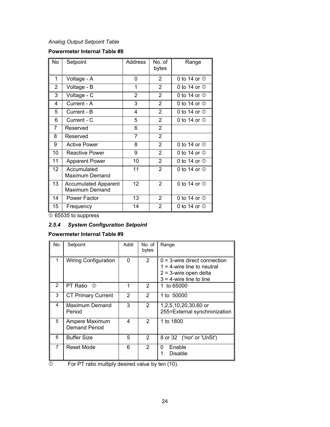## *Analog Output Setpoint Table*

## **Powermeter Internal Table #8**

| <b>No</b> | Setpoint                                             | Address        | No. of<br>bytes | Range                     |
|-----------|------------------------------------------------------|----------------|-----------------|---------------------------|
| 1         | Voltage - A                                          | 0              | 2               | 0 to 14 or $\circledcirc$ |
| 2         | Voltage - B                                          | 1              | $\overline{2}$  | 0 to 14 or $\circledcirc$ |
| 3         | Voltage - C                                          | $\overline{2}$ | 2               | 0 to 14 or $\circledcirc$ |
| 4         | Current - A                                          | 3              | $\overline{2}$  | 0 to 14 or $\Phi$         |
| 5         | Current - B                                          | 4              | $\overline{2}$  | 0 to 14 or $\mathbb O$    |
| 6         | Current - C                                          | 5              | $\overline{2}$  | 0 to 14 or $\mathbb O$    |
| 7         | Reserved                                             | 6              | 2               |                           |
| 8         | Reserved                                             | 7              | 2               |                           |
| 9         | Active Power                                         | 8              | $\overline{2}$  | 0 to 14 or $\Phi$         |
| 10        | <b>Reactive Power</b>                                | 9              | $\overline{2}$  | 0 to 14 or $\circledcirc$ |
| 11        | <b>Apparent Power</b>                                | 10             | $\overline{2}$  | 0 to 14 or $\circledcirc$ |
| 12        | Accumulated<br>Maximum Demand                        | 11             | $\overline{2}$  | 0 to 14 or $\mathbb O$    |
| 13        | <b>Accumulated Apparent</b><br><b>Maximum Demand</b> | 12             | $\overline{2}$  | 0 to 14 or $\mathbb O$    |
| 14        | Power Factor                                         | 13             | $\overline{2}$  | 0 to 14 or $\mathbb O$    |
| 15        | Frequency                                            | 14             | $\overline{2}$  | 0 to 14 or $\circledcirc$ |

 $\overline{0}$  65535 to suppress

## <span id="page-24-0"></span>*2.5.4 System Configuration Setpoint*

#### **Powermeter Internal Table #9**

| No. | Setpoint                        | Addr           | No. of<br>bytes | Range                                                                                                                      |
|-----|---------------------------------|----------------|-----------------|----------------------------------------------------------------------------------------------------------------------------|
|     | <b>Wiring Configuration</b>     | $\Omega$       | $\overline{2}$  | $0 = 3$ -wire direct connection<br>$1 = 4$ -wire line to neutral<br>$2 = 3$ -wire open delta<br>$3 = 4$ -wire line to line |
| 2   | PT Ratio<br>$\circ$             |                | $\overline{2}$  | 1 to 65000                                                                                                                 |
| 3   | <b>CT Primary Current</b>       | $\overline{2}$ | 2               | 1 to 50000                                                                                                                 |
| 4   | Maximum Demand<br>Period        | 3              | $\overline{2}$  | 1,2,5,10,20,30,60 or<br>255=External synchronization                                                                       |
| 5   | Ampere Maximum<br>Demand Period | 4              | $\overline{2}$  | 1 to 1800                                                                                                                  |
| 6   | <b>Buffer Size</b>              | 5              | $\overline{2}$  | 8 or 32 ('nor' or 'UnSt')                                                                                                  |
| 7   | Reset Mode                      | 6              | 2               | Enable<br>0<br>Disable                                                                                                     |

 $\overline{O}$  For PT ratio multiply desired value by ten (10).